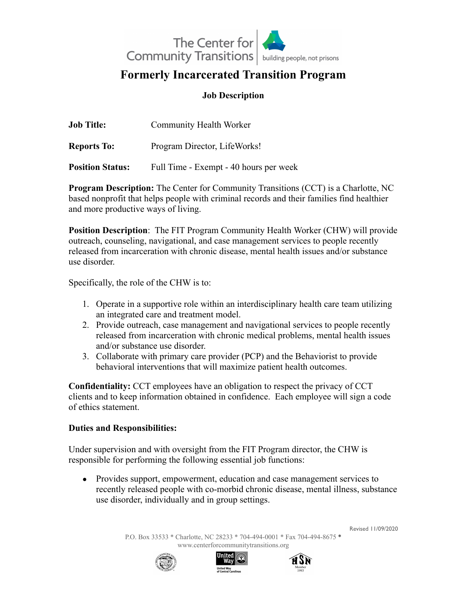

# **Formerly Incarcerated Transition Program**

## **Job Description**

| <b>Job Title:</b>       | <b>Community Health Worker</b>         |
|-------------------------|----------------------------------------|
| <b>Reports To:</b>      | Program Director, LifeWorks!           |
| <b>Position Status:</b> | Full Time - Exempt - 40 hours per week |

**Program Description:** The Center for Community Transitions (CCT) is a Charlotte, NC based nonprofit that helps people with criminal records and their families find healthier and more productive ways of living.

**Position Description**: The FIT Program Community Health Worker (CHW) will provide outreach, counseling, navigational, and case management services to people recently released from incarceration with chronic disease, mental health issues and/or substance use disorder.

Specifically, the role of the CHW is to:

- 1. Operate in a supportive role within an interdisciplinary health care team utilizing an integrated care and treatment model.
- 2. Provide outreach, case management and navigational services to people recently released from incarceration with chronic medical problems, mental health issues and/or substance use disorder.
- 3. Collaborate with primary care provider (PCP) and the Behaviorist to provide behavioral interventions that will maximize patient health outcomes.

**Confidentiality:** CCT employees have an obligation to respect the privacy of CCT clients and to keep information obtained in confidence. Each employee will sign a code of ethics statement.

### **Duties and Responsibilities:**

Under supervision and with oversight from the FIT Program director, the CHW is responsible for performing the following essential job functions:

• Provides support, empowerment, education and case management services to recently released people with co-morbid chronic disease, mental illness, substance use disorder, individually and in group settings.

> P.O. Box 33533 \* Charlotte, NC 28233 \* 704-494-0001 \* Fax 704-494-8675 \* [www.centerforcommunitytransitions.org](http://www.centerforcommunitytransitions.org)







Revised 11/09/2020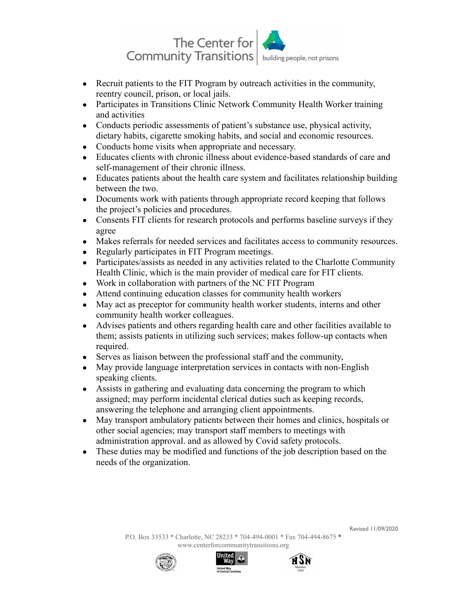

- Recruit patients to the FIT Program by outreach activities in the community, reentry council, prison, or local jails.
- Participates in Transitions Clinic Network Community Health Worker training and activities
- Conducts periodic assessments of patient's substance use, physical activity, dietary habits, cigarette smoking habits, and social and economic resources.
- Conducts home visits when appropriate and necessary.
- Educates clients with chronic illness about evidence-based standards of care and self-management of their chronic illness.
- Educates patients about the health care system and facilitates relationship building between the two.
- Documents work with patients through appropriate record keeping that follows the project's policies and procedures.
- Consents FIT clients for research protocols and performs baseline surveys if they agree
- Makes referrals for needed services and facilitates access to community resources.
- Regularly participates in FIT Program meetings.
- Participates/assists as needed in any activities related to the Charlotte Community Health Clinic, which is the main provider of medical care for FIT clients.
- Work in collaboration with partners of the NC FIT Program
- Attend continuing education classes for community health workers
- May act as preceptor for community health worker students, interns and other community health worker colleagues.
- Advises patients and others regarding health care and other facilities available to them; assists patients in utilizing such services; makes follow-up contacts when required.
- Serves as liaison between the professional staff and the community,
- May provide language interpretation services in contacts with non-English speaking clients.
- Assists in gathering and evaluating data concerning the program to which assigned; may perform incidental clerical duties such as keeping records, answering the telephone and arranging client appointments.
- May transport ambulatory patients between their homes and clinics, hospitals or other social agencies; may transport staff members to meetings with administration approval. and as allowed by Covid safety protocols.
- These duties may be modified and functions of the job description based on the needs of the organization.

Revised 11/09/2020





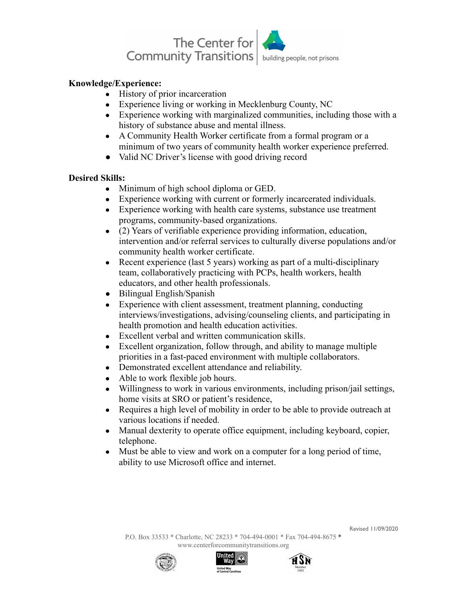

### **Knowledge/Experience:**

- History of prior incarceration
- Experience living or working in Mecklenburg County, NC
- Experience working with marginalized communities, including those with a history of substance abuse and mental illness.
- A Community Health Worker certificate from a formal program or a minimum of two years of community health worker experience preferred.
- Valid NC Driver's license with good driving record

### **Desired Skills:**

- Minimum of high school diploma or GED.
- Experience working with current or formerly incarcerated individuals.
- Experience working with health care systems, substance use treatment programs, community-based organizations.
- (2) Years of verifiable experience providing information, education, intervention and/or referral services to culturally diverse populations and/or community health worker certificate.
- Recent experience (last 5 years) working as part of a multi-disciplinary team, collaboratively practicing with PCPs, health workers, health educators, and other health professionals.
- Bilingual English/Spanish
- Experience with client assessment, treatment planning, conducting interviews/investigations, advising/counseling clients, and participating in health promotion and health education activities.
- Excellent verbal and written communication skills.
- Excellent organization, follow through, and ability to manage multiple priorities in a fast-paced environment with multiple collaborators.
- Demonstrated excellent attendance and reliability.
- Able to work flexible job hours.
- Willingness to work in various environments, including prison/jail settings, home visits at SRO or patient's residence,
- Requires a high level of mobility in order to be able to provide outreach at various locations if needed.
- Manual dexterity to operate office equipment, including keyboard, copier, telephone.
- Must be able to view and work on a computer for a long period of time, ability to use Microsoft office and internet.